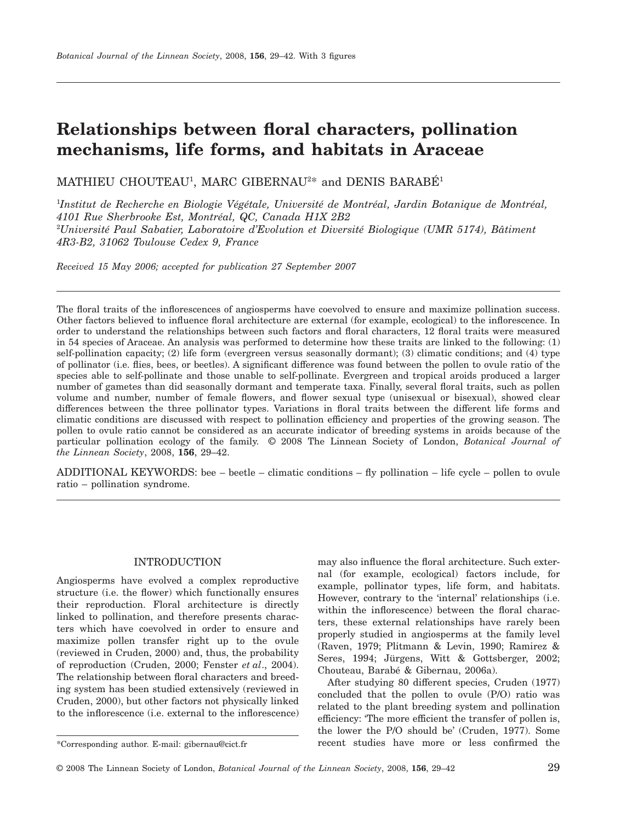# **Relationships between floral characters, pollination mechanisms, life forms, and habitats in Araceae**

MATHIEU CHOUTEAU<sup>1</sup>, MARC GIBERNAU<sup>2\*</sup> and DENIS BARABÉ<sup>1</sup>

1 *Institut de Recherche en Biologie Végétale, Université de Montréal, Jardin Botanique de Montréal, 4101 Rue Sherbrooke Est, Montréal, QC, Canada H1X 2B2* 2 *Université Paul Sabatier, Laboratoire d'Evolution et Diversité Biologique (UMR 5174), Bâtiment 4R3-B2, 31062 Toulouse Cedex 9, France*

*Received 15 May 2006; accepted for publication 27 September 2007*

The floral traits of the inflorescences of angiosperms have coevolved to ensure and maximize pollination success. Other factors believed to influence floral architecture are external (for example, ecological) to the inflorescence. In order to understand the relationships between such factors and floral characters, 12 floral traits were measured in 54 species of Araceae. An analysis was performed to determine how these traits are linked to the following: (1) self-pollination capacity; (2) life form (evergreen versus seasonally dormant); (3) climatic conditions; and (4) type of pollinator (i.e. flies, bees, or beetles). A significant difference was found between the pollen to ovule ratio of the species able to self-pollinate and those unable to self-pollinate. Evergreen and tropical aroids produced a larger number of gametes than did seasonally dormant and temperate taxa. Finally, several floral traits, such as pollen volume and number, number of female flowers, and flower sexual type (unisexual or bisexual), showed clear differences between the three pollinator types. Variations in floral traits between the different life forms and climatic conditions are discussed with respect to pollination efficiency and properties of the growing season. The pollen to ovule ratio cannot be considered as an accurate indicator of breeding systems in aroids because of the particular pollination ecology of the family. © 2008 The Linnean Society of London, *Botanical Journal of the Linnean Society*, 2008, **156**, 29–42.

ADDITIONAL KEYWORDS: bee – beetle – climatic conditions – fly pollination – life cycle – pollen to ovule ratio – pollination syndrome.

#### INTRODUCTION

Angiosperms have evolved a complex reproductive structure (i.e. the flower) which functionally ensures their reproduction. Floral architecture is directly linked to pollination, and therefore presents characters which have coevolved in order to ensure and maximize pollen transfer right up to the ovule (reviewed in Cruden, 2000) and, thus, the probability of reproduction (Cruden, 2000; Fenster *et al*., 2004). The relationship between floral characters and breeding system has been studied extensively (reviewed in Cruden, 2000), but other factors not physically linked to the inflorescence (i.e. external to the inflorescence) may also influence the floral architecture. Such external (for example, ecological) factors include, for example, pollinator types, life form, and habitats. However, contrary to the 'internal' relationships (i.e. within the inflorescence) between the floral characters, these external relationships have rarely been properly studied in angiosperms at the family level (Raven, 1979; Plitmann & Levin, 1990; Ramirez & Seres, 1994; Jürgens, Witt & Gottsberger, 2002; Chouteau, Barabé & Gibernau, 2006a).

After studying 80 different species, Cruden (1977) concluded that the pollen to ovule (P/O) ratio was related to the plant breeding system and pollination efficiency: 'The more efficient the transfer of pollen is, the lower the P/O should be' (Cruden, 1977). Some \*Corresponding author. E-mail: [gibernau@cict.fr](mailto:gibernau@cict.fr) recent studies have more or less confirmed the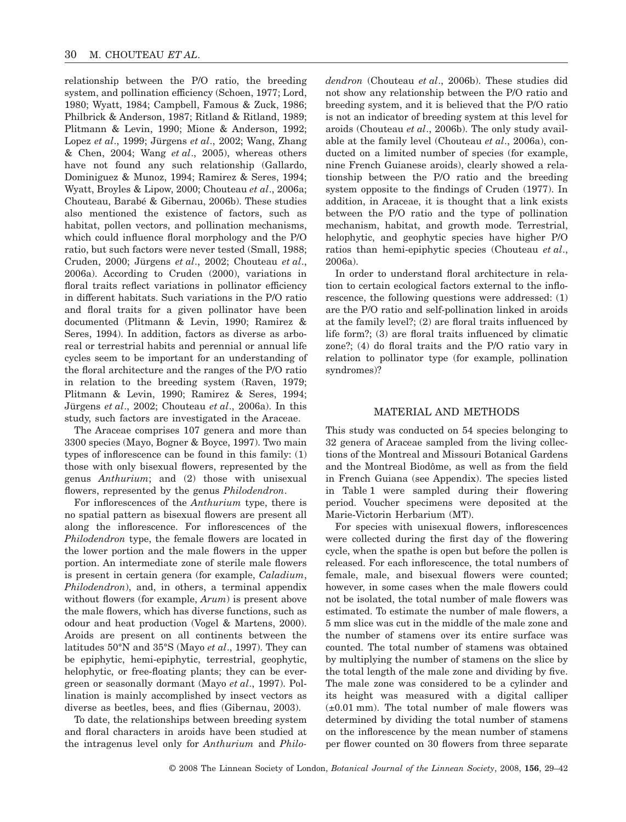relationship between the P/O ratio, the breeding system, and pollination efficiency (Schoen, 1977; Lord, 1980; Wyatt, 1984; Campbell, Famous & Zuck, 1986; Philbrick & Anderson, 1987; Ritland & Ritland, 1989; Plitmann & Levin, 1990; Mione & Anderson, 1992; Lopez *et al*., 1999; Jürgens *et al*., 2002; Wang, Zhang & Chen, 2004; Wang *et al*., 2005), whereas others have not found any such relationship (Gallardo, Dominiguez & Munoz, 1994; Ramirez & Seres, 1994; Wyatt, Broyles & Lipow, 2000; Chouteau *et al*., 2006a; Chouteau, Barabé & Gibernau, 2006b). These studies also mentioned the existence of factors, such as habitat, pollen vectors, and pollination mechanisms, which could influence floral morphology and the P/O ratio, but such factors were never tested (Small, 1988; Cruden, 2000; Jürgens *et al*., 2002; Chouteau *et al*., 2006a). According to Cruden (2000), variations in floral traits reflect variations in pollinator efficiency in different habitats. Such variations in the P/O ratio and floral traits for a given pollinator have been documented (Plitmann & Levin, 1990; Ramirez & Seres, 1994). In addition, factors as diverse as arboreal or terrestrial habits and perennial or annual life cycles seem to be important for an understanding of the floral architecture and the ranges of the P/O ratio in relation to the breeding system (Raven, 1979; Plitmann & Levin, 1990; Ramirez & Seres, 1994; Jürgens *et al*., 2002; Chouteau *et al*., 2006a). In this study, such factors are investigated in the Araceae.

The Araceae comprises 107 genera and more than 3300 species (Mayo, Bogner & Boyce, 1997). Two main types of inflorescence can be found in this family: (1) those with only bisexual flowers, represented by the genus *Anthurium*; and (2) those with unisexual flowers, represented by the genus *Philodendron*.

For inflorescences of the *Anthurium* type, there is no spatial pattern as bisexual flowers are present all along the inflorescence. For inflorescences of the *Philodendron* type, the female flowers are located in the lower portion and the male flowers in the upper portion. An intermediate zone of sterile male flowers is present in certain genera (for example, *Caladium*, *Philodendron*), and, in others, a terminal appendix without flowers (for example, *Arum*) is present above the male flowers, which has diverse functions, such as odour and heat production (Vogel & Martens, 2000). Aroids are present on all continents between the latitudes 50°N and 35°S (Mayo *et al*., 1997). They can be epiphytic, hemi-epiphytic, terrestrial, geophytic, helophytic, or free-floating plants; they can be evergreen or seasonally dormant (Mayo *et al*., 1997). Pollination is mainly accomplished by insect vectors as diverse as beetles, bees, and flies (Gibernau, 2003).

To date, the relationships between breeding system and floral characters in aroids have been studied at the intragenus level only for *Anthurium* and *Philo-* *dendron* (Chouteau *et al*., 2006b). These studies did not show any relationship between the P/O ratio and breeding system, and it is believed that the P/O ratio is not an indicator of breeding system at this level for aroids (Chouteau *et al*., 2006b). The only study available at the family level (Chouteau *et al*., 2006a), conducted on a limited number of species (for example, nine French Guianese aroids), clearly showed a relationship between the P/O ratio and the breeding system opposite to the findings of Cruden (1977). In addition, in Araceae, it is thought that a link exists between the P/O ratio and the type of pollination mechanism, habitat, and growth mode. Terrestrial, helophytic, and geophytic species have higher P/O ratios than hemi-epiphytic species (Chouteau *et al*., 2006a).

In order to understand floral architecture in relation to certain ecological factors external to the inflorescence, the following questions were addressed: (1) are the P/O ratio and self-pollination linked in aroids at the family level?; (2) are floral traits influenced by life form?; (3) are floral traits influenced by climatic zone?; (4) do floral traits and the P/O ratio vary in relation to pollinator type (for example, pollination syndromes)?

## MATERIAL AND METHODS

This study was conducted on 54 species belonging to 32 genera of Araceae sampled from the living collections of the Montreal and Missouri Botanical Gardens and the Montreal Biodôme, as well as from the field in French Guiana (see Appendix). The species listed in Table 1 were sampled during their flowering period. Voucher specimens were deposited at the Marie-Victorin Herbarium (MT).

For species with unisexual flowers, inflorescences were collected during the first day of the flowering cycle, when the spathe is open but before the pollen is released. For each inflorescence, the total numbers of female, male, and bisexual flowers were counted; however, in some cases when the male flowers could not be isolated, the total number of male flowers was estimated. To estimate the number of male flowers, a 5 mm slice was cut in the middle of the male zone and the number of stamens over its entire surface was counted. The total number of stamens was obtained by multiplying the number of stamens on the slice by the total length of the male zone and dividing by five. The male zone was considered to be a cylinder and its height was measured with a digital calliper  $(\pm 0.01$  mm). The total number of male flowers was determined by dividing the total number of stamens on the inflorescence by the mean number of stamens per flower counted on 30 flowers from three separate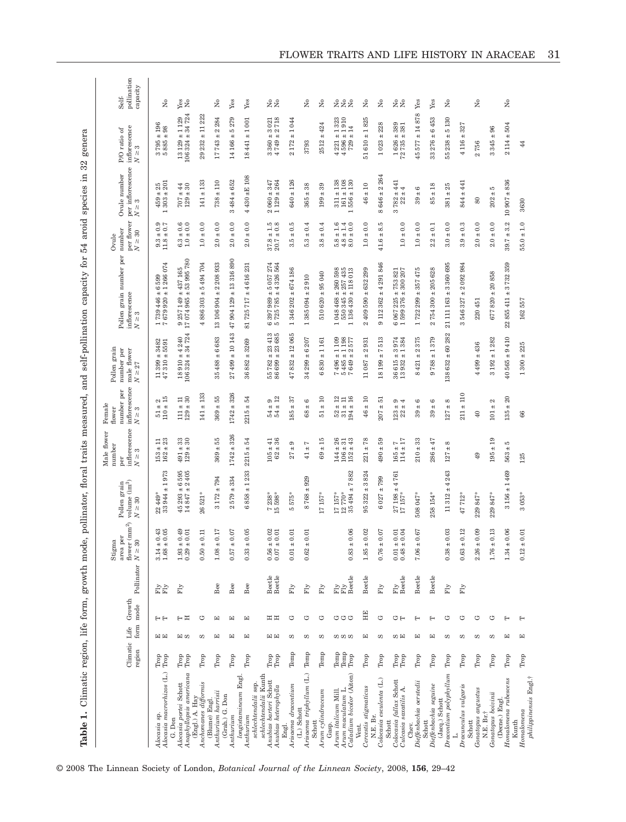Table 1. Climatic region, life form, growth mode, pollinator, floral traits measured, and self-pollination capacity for 54 aroid species in 32 genera **Table 1.** Climatic region, life form, growth mode, pollinator, floral traits measured, and self-pollination capacity for 54 aroid species in 32 genera

|                                                                                                                     | Climatic Life<br>region |     | Growth<br>form mode | Pollinator $N \geq 30$         | flower $\rm (mm^2)$<br>area per<br>Stigma                                             | volume $\rm (im^3)$<br>Pollen grain<br>$N \geq 30$         | inflorescence<br>Male flower<br>number<br>S<br>$\geq$<br>per          | inflorescence<br>number per<br>Female<br>flower<br>$N\geq 3$              | Pollen grain<br>number per<br>male flower<br>$N \geq 27$                                            | Pollen grain number per<br>inflorescence<br>$N \geq 3$                                                        | per flower<br>number<br>$N \geq 30$<br>Ovule                              | per inflorescence<br>Ovule number<br>$N \geq 3$                                         | inflorescence<br>ЪÇ<br>P/O ratio<br>$N \geq 3$                          | pollination<br>capacity<br>Self-                   |
|---------------------------------------------------------------------------------------------------------------------|-------------------------|-----|---------------------|--------------------------------|---------------------------------------------------------------------------------------|------------------------------------------------------------|-----------------------------------------------------------------------|---------------------------------------------------------------------------|-----------------------------------------------------------------------------------------------------|---------------------------------------------------------------------------------------------------------------|---------------------------------------------------------------------------|-----------------------------------------------------------------------------------------|-------------------------------------------------------------------------|----------------------------------------------------|
| Alocasia macrorhizos (L.)<br>Alocasia sp                                                                            | Trop<br>Trop            | 田田  | FF                  | Fly<br>Fly                     | $0.43$<br>$0.05$<br>$+1$<br>$\ddot{}$<br>$3.14$<br>$1.68$                             | $22\,449$ *<br>33 944 ± 1 973                              | $\Xi$ $\mathbb{S}$<br>$153 \pm 153$                                   | $51\pm2$ 10 $\pm$ 15                                                      | $1399 \pm 3482$<br>$7310 \pm 5591$<br>$\frac{11}{47}$                                               | $679920 \pm 1266074$<br>599<br>$\circ$<br>$^{\rm +}$<br>446<br>739<br>b,                                      | $+0.9$<br>$+0.7$<br>9.3                                                   | $\begin{array}{r} \pm 25 \\ \pm 201 \end{array}$<br>303<br>459                          | $\begin{array}{c} 196 \\ 98 \end{array}$<br>$3795 \pm 1$<br>5885 ±      | ż                                                  |
| Anaphyllopsis americana<br>Alocasia portei Schott<br>G. Don                                                         | Trop<br>Trop            | 国の  | 日日                  | $\mathop{\rm Fly}\nolimits$    | 0.49<br>0.01<br>$\overline{+}$<br>$+1$<br>$\begin{array}{c} 1.93 \\ 0.29 \end{array}$ | $6293 \pm 6595$<br>$847 \pm 2405$<br>$\overline{14}$<br>45 | $\frac{3}{3}$<br>$491 \pm$<br>$129 \pm 3$                             | $129 \pm 30$<br>$\pm$ 11<br>$\Xi$                                         | $18910 \pm 4240$ $106324 \pm 34724$                                                                 | $9\ 257\ 149 \pm 437\ 165$ $17\ 074\ 965 \pm 53\ 995\ 780$                                                    | $\begin{array}{c} 6.3 \pm 0.6 \\ 1.0 \pm 0.0 \end{array}$                 | $\begin{array}{c} 44 \\ +30 \end{array}$<br><b>707</b><br>129                           | $106324 \pm 34724$<br>$13129 \pm 1129$                                  | yes<br>No                                          |
| $(Engl.) A. HayArchomanes diffusion is$<br>(Blume) Engl                                                             | Trop                    | S   | ゥ                   |                                | 0.11<br>$+$<br>$0.50\,$                                                               | 26521*                                                     |                                                                       | $141 + 133$                                                               |                                                                                                     | 886 303 ± 5494 704<br>4                                                                                       | $\pm$ 0.0<br>1.0                                                          | $\pm~133$<br>141                                                                        | $29232 \pm 11222$                                                       |                                                    |
| Anthurium harrisii                                                                                                  | Trop                    | 囯   | 囯                   | Bee                            | 0.17<br>$\ddot{}$<br>$1.08\,$                                                         | $3 172 \pm 794$                                            | $369 + 55$                                                            | ±55<br>369                                                                | 683<br>$35488 + 6$                                                                                  | $13106904 \pm 2208933$                                                                                        | $2.0 \pm 0.0$                                                             | ±110<br>738                                                                             | $17743 \pm 2284$                                                        | $\tilde{z}$                                        |
| (Grah.) G. Don<br>Anthurium                                                                                         | Trop                    | 囯   | 囯                   | Bee                            | 0.07<br>$+1$<br>0.57                                                                  | $\pm 334$<br>579<br>$\mathbf{\Omega}$                      | $1742 + 326$                                                          | $1742 \pm 326$                                                            | ± 10143<br>27499                                                                                    | ± 13316890<br>904 129<br>47                                                                                   | $\pm$ 0.0<br>2.0                                                          | $\pm\,652$<br>484<br>S                                                                  | 5279<br>$14166 \pm$                                                     | Yes                                                |
| longistamineum Engl.<br>schlechtendalii ssp.<br>Anthurium                                                           | Trop                    | 囯   | 囯                   | Bee                            | 0.05<br>$+$<br>0.33                                                                   | $\pm$ 1 233<br>858<br>$\mathbf 0$                          | 12<br>$2215 \pm$                                                      | ± 54<br>2215                                                              | ± 3269<br>36882                                                                                     | 81 725 717 ± 4 616 231                                                                                        | $\pm 0.0$<br>2.0                                                          | 430 ±E 108<br>4                                                                         | $18441 \pm 1001$                                                        | Yes                                                |
| schlechtendalii Kunth<br>$\begin{array}{c} Anubias\,\, barrieri\,\, Schott \\ Anubias\,\, heterophylla \end{array}$ | Trop<br>Trop            | 国国  | 出出                  | Beetle<br>Beetle               | $\frac{0.02}{0.01}$<br>$+1$<br>$+1$<br>0.56<br>0.07                                   | $\frac{7}{15} \frac{238}{598}$                             | $\begin{array}{c} 105 \pm 41 \\ 62 \pm 36 \end{array}$                | $54 \pm 9$<br>$54 \pm 12$                                                 | $\begin{array}{l} 55\ 782 \pm 23\ 413 \\ 86\ 699 \pm 23\ 685 \end{array}$                           | $397989 \pm 5057274$<br>725 785 ± 4 326 564<br>o 10                                                           | $\pm\,1.5\,\newline\pm\,0.8\,\newline$<br>37.8                            | 347<br>$1129 \pm 264$<br>$\pm$<br>2 060                                                 | $3\,360 \pm 3\,021$ $4\,749 \pm 2\,718$                                 | 2g                                                 |
| Arisaema dracontium<br>Engl.                                                                                        | Temp                    | S   | ゥ                   | $\overline{\text{Fly}}$        | 0.01<br>$+$<br>$0.01$                                                                 | 5575*                                                      | G<br>$^{\rm +}$<br>27                                                 | $\pm$ 37<br>185                                                           | 065<br>$\pm\,12$<br>832<br>47                                                                       | $346202 \pm 674186$<br>$\overline{ }$                                                                         | $\pm$ 0.5<br>$3.\overline{5}$                                             | $\pm~126$<br>640                                                                        | $2172 \pm 1044$                                                         |                                                    |
| Arisaema triphyllum (L.)<br>$(\mathbf{L}.)$ Schott<br>Schott                                                        | Temp                    | S   | ゥ                   | $\mathbb{F} \mathbb{F}$        | 0.01<br>$\ddot{}$<br>0.62                                                             | 929<br>$\pm$<br>8768                                       | Ľ<br>$^{\rm +}$<br>$\overline{41}$                                    | $\pm 6$<br>89                                                             | 207<br>$34299 + 6$                                                                                  | $385094 \pm 2910$<br>$\overline{ }$                                                                           | $\pm\,0.4$<br>5.3                                                         | $\pm 38$<br>365                                                                         | 3793                                                                    | ż                                                  |
| Arum cylindraceum                                                                                                   | Temp                    | S   | ゥ                   | $\overline{\text{Fly}}$        |                                                                                       | 17157*                                                     | $69 \pm 15$                                                           | $\pm~10$<br>51                                                            | $830 + 1161$<br>G                                                                                   | $510620 \pm 95040$                                                                                            | $\pm 0.4$<br>3.8                                                          | $\pm$ 39<br>199                                                                         | $2512 + 424$                                                            | $\stackrel{\circ}{\phantom{\mathsf{Z}}\mathsf{Z}}$ |
| Caladium bicolor (Aiton)<br>Arum maculatum L.<br>Arum italicum Mill.<br>Gasp.                                       | Temp<br>Temp<br>Trop    | ທທທ | ひひひ                 | <b>Fly</b><br>Expedie<br>Beede | 0.06<br>$+$<br>0.83                                                                   | 882<br>$35494 + 7$<br>12770*<br>17157*                     | $\begin{array}{c} 144 \pm 26 \\ 106 \pm 31 \end{array}$<br>$152 + 43$ | $\begin{array}{r} 52 \pm 12 \\ 31 \pm 11 \\ 94 \pm 16 \end{array}$<br>194 | $3 \pm 1$ 109<br>$5 \pm 1$ 198<br>$\pm 2$ 577<br>$7496 \pm 1$<br>$5485 \pm 1$<br>$7649 + 21$<br>649 | $\begin{array}{c} 048\ 468\pm260\ 598\\ 550\ 345\pm257\ 435 \end{array}$<br>$1\,136\,430\pm 118\,013$<br>1048 | $\begin{array}{c} 1.6 \\ + 1.4 \\ + 1.4 \end{array}$<br>$5.800$<br>$4.80$ | $\pm\,108$<br>$\pm~138$<br>$\pm~130$<br>$\overline{51}$<br>161<br>556<br>$\overline{ }$ | $4\,221 \pm 1\,323$ $4\,596 \pm 1\,910$<br>$\overline{14}$<br>$729 + 1$ | <b>z</b> eg                                        |
| Cercestis stigmaticus<br>Vent.                                                                                      | Trop                    | 囯   | HE                  | Beetle                         | 0.02<br>$+$<br>1.85                                                                   | ± 3824<br>95 322                                           | $78$<br>$\ddot{}$<br>221                                              | $\pm~10$<br>46                                                            | 931<br>$\pm$ 2<br>11087                                                                             | $409590 \pm 632299$<br>2                                                                                      | $\pm$ 0.0<br>1.0                                                          | ±10<br>$\frac{4}{6}$                                                                    | $51610 \pm 1825$                                                        | ž                                                  |
| Colocasia esculenta (L.)<br>N.E. Br.<br>Schott                                                                      | Trop                    | S   | ゥ                   | $\mathbb{F}_\mathcal{Y}$       | 0.07<br>0.76                                                                          | 799<br>$^{\rm +}$<br>027<br>G                              | 59<br>$490 \pm 1$                                                     | ±51<br>207                                                                | 513<br>$\sim$<br>$^{\rm +}$<br>18199                                                                | $9112362 \pm 4291846$                                                                                         | S<br>∞<br>$^{\rm +}$<br>41.6                                              | ± 2.264<br>646<br>8                                                                     | 228<br>$\ddot{}$<br>1023                                                | $\tilde{z}$                                        |
| Colocasia fallax Schott<br>Culcasia saxatilis A.                                                                    | Trop<br>Trop            | ωĦ  | いけ                  | Fly<br>Beetle                  | $0.04$<br>0.01<br>$+$<br>$+$<br>0.48<br>0.01                                          | ±4761<br>$\frac{27}{17} \frac{198}{157}$                   | $\begin{array}{c} 165 \pm 7 \\ 114 \pm 17 \end{array}$                | $+4$<br>$+4$<br>123<br>22                                                 | 974<br>384<br>$+3$<br>$+1$<br>615<br>$\frac{36}{13}$                                                | $\frac{067}{599} \frac{225 \pm 753}{376 \pm 300} \frac{821}{207}$<br>$\circ$ $\overline{\phantom{0}}$         | $1.0 \pm 0.0$                                                             | $\begin{array}{c}\n\pm 441 \\ \pm 4\n\end{array}$<br>$\frac{782}{22}$<br>S              | 38<br>381<br>$1626 \pm 32735 \pm 3$                                     | 2g                                                 |
| Dieffenbachia oerstedii<br>Chev.                                                                                    | Trop                    | 囯   | $\vdash$            | Beetle                         | $0.67\,$<br>$+$<br>$7.06\,$                                                           | $508047*$                                                  | $210\pm33$                                                            | $+6$<br>39                                                                | 375<br>$\pm 2$<br>421<br>${}^{\circ}$                                                               | $722299 \pm 357475$<br>$\overline{ }$                                                                         | $1.0\pm0.0$                                                               | G<br>$^{\rm +}$<br>39                                                                   | 878<br>±14<br>45577                                                     | Yes                                                |
| Dieffenbachia seguine<br>(Jacq.) Schott<br>Schott                                                                   | Trop                    | 囯   | $\vdash$            | Beetle                         |                                                                                       | 258 154*                                                   | 47<br>$286 \pm 4$                                                     | $\circ$<br>$^{\rm +1}$<br>39                                              | $\pm$ 1 379<br>9788                                                                                 | $754300 \pm 205628$<br>$\mathbf{\Omega}$                                                                      | $\pm$ 0.1<br>2.2                                                          | $\pm~18$<br>85                                                                          | 6453<br>$\ddot{}$<br>33 276                                             | Yes                                                |
| Dracontium polyphyllum                                                                                              | Trop                    | w   | ゥ                   | $\overline{\text{F}}\text{y}$  | 0.03<br>$+1$<br>0.38                                                                  | 243<br>$+4$<br>11312                                       | ${}^{\circ}$<br>$\ddot{}$<br>127                                      | ${}^{\circ}$<br>$\ddot{}$<br>127                                          | 282<br>$138632 + 60$                                                                                | $21111163 \pm 3360695$                                                                                        | $\pm$ 0.0<br>3.0                                                          | 25<br>$\ddot{}$<br>381                                                                  | 5130<br>$55238 \pm$                                                     | $\stackrel{\circ}{\phantom{\mathsf{Z}}\mathsf{Z}}$ |
| Dracunculus vulgaris<br>Schott                                                                                      | Trop                    | S   | ゼ                   | Fly                            | 0.12<br>$+1$<br>0.63                                                                  | $47712*$                                                   |                                                                       | $211 \pm 110$                                                             |                                                                                                     | ± 2092984<br>546 327<br>S                                                                                     | $\pm 0.3$<br>3.9                                                          | ±441<br>844                                                                             | 327<br>$4116 \pm$                                                       |                                                    |
| Gonatopus angustus<br>N.E. Br.†                                                                                     | Trop                    | w   | ゥ                   |                                | 0.09<br>$\ddot{}$<br>2.26                                                             | 229847*                                                    | $^{49}$                                                               | 40                                                                        | $4499 \pm 436$                                                                                      | 220 45                                                                                                        | $\pm 0.0$<br>2.0                                                          | 80                                                                                      | 2756                                                                    | $\mathring{\mathsf{z}}$                            |
| Gonatopus boivinii                                                                                                  | Trop                    | S   | ゥ                   |                                | 0.13<br>1.76                                                                          | 229 847*                                                   | $195 \pm 19$                                                          | $101 \pm 2$                                                               | $3192 \pm 1282$                                                                                     | $677820 \pm 20858$                                                                                            | $2.0 \pm 0.0$                                                             | FO<br>$\ddot{}$<br>202                                                                  | 96<br>$3345 \pm$                                                        |                                                    |
| Homalomena rubescens<br>(Decne.) Engl<br>Kunth                                                                      | Trop                    | 囯   | е                   |                                | 0.06<br>$+$<br>1.34                                                                   | $3156 \pm 1469$                                            | FO<br>$563 \pm i$                                                     | $\pm 20$<br>135                                                           | $40565 \pm 9410$                                                                                    | $22855411 \pm 3732359$                                                                                        | $39.7 \pm 3.2$                                                            | $10907 + 836$                                                                           | 504<br>$2$ 114 $\pm$                                                    | $\tilde{z}$                                        |
| philippinensis Engl.+<br>$\label{thm:1} Homalomena$                                                                 | Trop                    | 囯   | Н                   |                                | 0.01<br>$^{\rm +}$<br>0.12                                                            | $3.053*$                                                   | 125                                                                   | 66                                                                        | $1300 \pm 225$                                                                                      | 162557                                                                                                        | $55.0 \pm 1.0$                                                            | 3630                                                                                    | 44                                                                      |                                                    |

© 2008 The Linnean Society of London, *Botanical Journal of the Linnean Society*, 2008, **156**, 29–42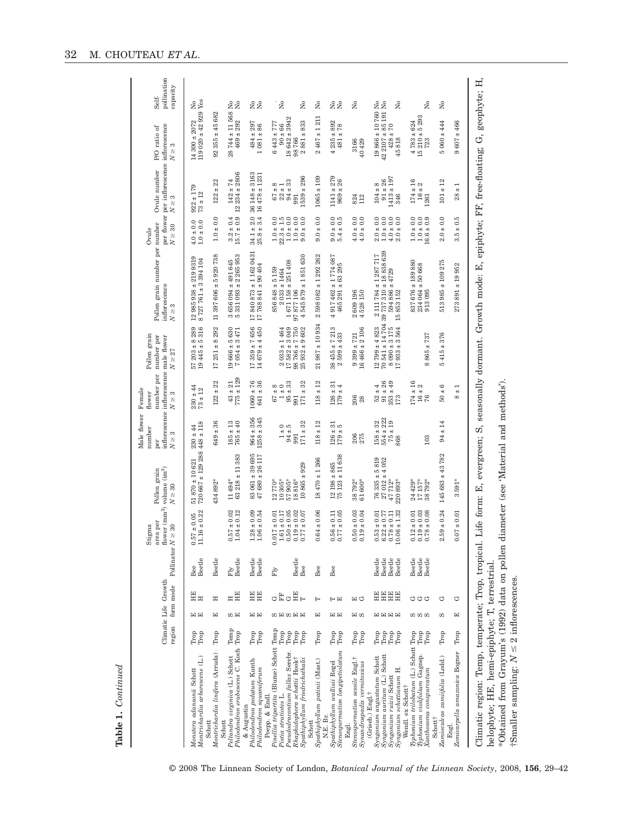| ٠<br>j |  |
|--------|--|
|        |  |
|        |  |

| $720667 \pm 129288448 \pm 118$<br>$83\ 061 \pm 39\ 695$ $47\ 680 \pm 26\ 117$<br>$63218 \pm 11383$<br>$\frac{12}{75} \frac{198 \pm 865}{123 \pm 11} \frac{}{638}$<br>$18470 + 1266$<br>$51870 \pm 10621$<br>$10865 + 929$<br>10 305*<br>57905*<br>38792*<br>11494*<br>18816*<br>434 892*<br>770*<br>$\overline{12}$<br>$1.28 \pm 0.09$ $1.06 \pm 0.54$<br>$\begin{array}{c} 0.57 \pm 0.02 \\ 1.04 \pm 0.12 \end{array}$<br>$0.50 \pm 0.05$<br>$0.19 \pm 0.02$<br>$64 \pm 0.06$<br>$40.11$<br>$\pm 0.05$<br>$11.16 \pm 0.22$<br>$0.017 \pm 0.01$ $1.61 \pm 0.17$<br>$\pm\,0.07$<br>$50\pm0.03$<br>$0.19\pm0.04$<br>$0.57\pm0.05$<br>0.017<br>0.77<br>$0.56$<br>$0.77$<br>6.<br>$\dot{\circ}$<br>Beetle<br>Fly<br>Beetle<br>Beetle<br>Beetle<br>Beetle<br>Beetle<br>Bee<br>Bee<br>Bee<br>Bee<br>Fly<br>$E_{\rm H}$<br>HE<br>EE<br>HE<br>۴È<br>ڻ<br>$\overline{a}$<br>Ξ<br>Ξ<br>回じ<br>⊢<br>日日<br>国国<br>囯<br>ωĦ<br>国国<br>SMSEE<br>囯<br>国国<br>国の<br>Temp<br>Temp<br>Trop<br>Philodendron erubescens C. Koch Trop<br>Trop<br>Trop<br>Trop<br>${\rm Trop}$<br>Trop<br>Trop<br>Trop<br>Trop<br>Trop<br>Trop<br>Trop<br>Trop<br>$_{\mathrm{Trop}}$<br>Pinellia tripartita (Blume) Schott<br>Stenospermation longipetiolatum<br>Pseudodracontium fallax Serebr.<br>Montrichardia linifera (Arruda)<br>Peltandra virginica (L.) Schott<br>Montrichardia arborescens (L.)<br>Stenospermation sessile Engl.+<br>Rhaphidophora schottii Hook†<br>Spathiphyllum friedrichsthalii<br>Spathiphyllum patinii (Mast.)<br>Philodendron pedatum Kunth<br>Synandrospadix vermitoxicus<br>Spathiphyllum wallisii Regel<br>Philodendron squamiferum<br>Monstera adansonii Schott<br>Pistia stratiotes L.<br>Poepp. & Endl.<br>& Augustin<br>N.E. Br.<br>Schott<br>Schott<br>Schott<br>Engl. |        | $775 + 129$<br>$122 \pm 22$<br>$1060 \pm 76$<br>$641 \pm 36$<br>$43 \pm 21$<br>$95 \pm 33$<br>$171 \pm 32$<br>$67 \pm 8$<br>1 ± 0<br>$230 \pm 44$<br>$73 \pm 12$<br>991<br>$964 \pm 356$<br>$1258 \pm 345$<br>$649 \pm 36$<br>$185 \pm 13$<br>$765 \pm 40$<br>$171 \pm 32$<br>$230 \pm 44$<br>$1 \pm 0$<br>$94 \pm 5$<br>991 | $21987 \pm 10934$<br>$57203 \pm 8289$<br>$19445 + 5316$<br>$17359 \pm 7656$<br>$14679 \pm 4450$<br>$582 \pm 3\,049$<br>$\frac{98}{25} \frac{766 \pm 7}{932 \pm 9} \frac{750}{602}$<br>$17251 \pm 8292$<br>$\frac{19666 \pm 5630}{7054 \pm 3471}$<br>$2033 \pm 1464$<br>$\overline{1}$ | 17840873 ± 11620431<br>$11397606 \pm 5920738$<br>$5331093 \pm 2265953$<br>$4545879 \pm 1851630$<br>12 985 938 ± 219 9319<br>8727761 ± 3394104<br>$3656094 \pm 491645$<br>$1671158 \pm 251408$<br>$17\,768\,841\pm90\,404$<br>$856848 \pm 5159$<br>$2033 \pm 1464$<br>97877106 | $142 \pm 74$<br>: 234 ± 2806<br>$36148 \pm 3163$<br>$16478 \pm 1231$<br>$539 \pm 296$<br>$122 + 22$<br>$94 \pm 33$<br>$67 \pm 8$<br>$22 \pm 1$<br>$922 \pm 179$<br>$73 \pm 12$<br>991<br>$\frac{1}{2}$<br>$34.1 \pm 2.0$<br>$25.8 \pm 3.4$<br>$3.2 \pm 0.4$<br>15.7 ± 0.9<br>$1.0 \pm 0.0$<br>$1.0 \pm 0.0$<br>$22.3 \pm 1.5$<br>$1.0\pm0.0$<br>$1.0\pm0.0$<br>$\pm 0.0$<br>$4.0 \pm 0.0$<br>$1.0\pm0.0$<br>0.6 | $119020 \pm 42929$<br>$28744 \pm 11568$<br>$92355 \pm 45682$<br>$\frac{18642 \pm 3942}{98766}$<br>$14300 \pm 2072$<br>$469 \pm 292$<br>$2881 + 833$<br>$484 \pm 297$<br>$6443 + 777$<br>$90 \pm 66$<br>$1081 + 86$ | Yes<br>$\tilde{z}$<br>$\tilde{z}$<br>å<br>å<br>Σò<br>å |
|---------------------------------------------------------------------------------------------------------------------------------------------------------------------------------------------------------------------------------------------------------------------------------------------------------------------------------------------------------------------------------------------------------------------------------------------------------------------------------------------------------------------------------------------------------------------------------------------------------------------------------------------------------------------------------------------------------------------------------------------------------------------------------------------------------------------------------------------------------------------------------------------------------------------------------------------------------------------------------------------------------------------------------------------------------------------------------------------------------------------------------------------------------------------------------------------------------------------------------------------------------------------------------------------------------------------------------------------------------------------------------------------------------------------------------------------------------------------------------------------------------------------------------------------------------------------------------------------------------------------------------------------------------------------------------------------------------------------------------------------------------------------|--------|------------------------------------------------------------------------------------------------------------------------------------------------------------------------------------------------------------------------------------------------------------------------------------------------------------------------------|---------------------------------------------------------------------------------------------------------------------------------------------------------------------------------------------------------------------------------------------------------------------------------------|-------------------------------------------------------------------------------------------------------------------------------------------------------------------------------------------------------------------------------------------------------------------------------|-----------------------------------------------------------------------------------------------------------------------------------------------------------------------------------------------------------------------------------------------------------------------------------------------------------------------------------------------------------------------------------------------------------------|--------------------------------------------------------------------------------------------------------------------------------------------------------------------------------------------------------------------|--------------------------------------------------------|
|                                                                                                                                                                                                                                                                                                                                                                                                                                                                                                                                                                                                                                                                                                                                                                                                                                                                                                                                                                                                                                                                                                                                                                                                                                                                                                                                                                                                                                                                                                                                                                                                                                                                                                                                                                     |        |                                                                                                                                                                                                                                                                                                                              |                                                                                                                                                                                                                                                                                       |                                                                                                                                                                                                                                                                               |                                                                                                                                                                                                                                                                                                                                                                                                                 |                                                                                                                                                                                                                    |                                                        |
|                                                                                                                                                                                                                                                                                                                                                                                                                                                                                                                                                                                                                                                                                                                                                                                                                                                                                                                                                                                                                                                                                                                                                                                                                                                                                                                                                                                                                                                                                                                                                                                                                                                                                                                                                                     |        |                                                                                                                                                                                                                                                                                                                              |                                                                                                                                                                                                                                                                                       |                                                                                                                                                                                                                                                                               |                                                                                                                                                                                                                                                                                                                                                                                                                 |                                                                                                                                                                                                                    |                                                        |
|                                                                                                                                                                                                                                                                                                                                                                                                                                                                                                                                                                                                                                                                                                                                                                                                                                                                                                                                                                                                                                                                                                                                                                                                                                                                                                                                                                                                                                                                                                                                                                                                                                                                                                                                                                     |        |                                                                                                                                                                                                                                                                                                                              |                                                                                                                                                                                                                                                                                       |                                                                                                                                                                                                                                                                               |                                                                                                                                                                                                                                                                                                                                                                                                                 |                                                                                                                                                                                                                    |                                                        |
|                                                                                                                                                                                                                                                                                                                                                                                                                                                                                                                                                                                                                                                                                                                                                                                                                                                                                                                                                                                                                                                                                                                                                                                                                                                                                                                                                                                                                                                                                                                                                                                                                                                                                                                                                                     |        |                                                                                                                                                                                                                                                                                                                              |                                                                                                                                                                                                                                                                                       |                                                                                                                                                                                                                                                                               |                                                                                                                                                                                                                                                                                                                                                                                                                 |                                                                                                                                                                                                                    |                                                        |
|                                                                                                                                                                                                                                                                                                                                                                                                                                                                                                                                                                                                                                                                                                                                                                                                                                                                                                                                                                                                                                                                                                                                                                                                                                                                                                                                                                                                                                                                                                                                                                                                                                                                                                                                                                     |        |                                                                                                                                                                                                                                                                                                                              |                                                                                                                                                                                                                                                                                       |                                                                                                                                                                                                                                                                               |                                                                                                                                                                                                                                                                                                                                                                                                                 |                                                                                                                                                                                                                    |                                                        |
|                                                                                                                                                                                                                                                                                                                                                                                                                                                                                                                                                                                                                                                                                                                                                                                                                                                                                                                                                                                                                                                                                                                                                                                                                                                                                                                                                                                                                                                                                                                                                                                                                                                                                                                                                                     |        |                                                                                                                                                                                                                                                                                                                              |                                                                                                                                                                                                                                                                                       |                                                                                                                                                                                                                                                                               |                                                                                                                                                                                                                                                                                                                                                                                                                 |                                                                                                                                                                                                                    |                                                        |
|                                                                                                                                                                                                                                                                                                                                                                                                                                                                                                                                                                                                                                                                                                                                                                                                                                                                                                                                                                                                                                                                                                                                                                                                                                                                                                                                                                                                                                                                                                                                                                                                                                                                                                                                                                     |        |                                                                                                                                                                                                                                                                                                                              |                                                                                                                                                                                                                                                                                       |                                                                                                                                                                                                                                                                               |                                                                                                                                                                                                                                                                                                                                                                                                                 |                                                                                                                                                                                                                    |                                                        |
|                                                                                                                                                                                                                                                                                                                                                                                                                                                                                                                                                                                                                                                                                                                                                                                                                                                                                                                                                                                                                                                                                                                                                                                                                                                                                                                                                                                                                                                                                                                                                                                                                                                                                                                                                                     |        | $118 + 12$<br>$118 + 12$                                                                                                                                                                                                                                                                                                     |                                                                                                                                                                                                                                                                                       | $2598082 \pm 1292262$                                                                                                                                                                                                                                                         | $1065 \pm 109$<br>$9.0 \pm 0.0$                                                                                                                                                                                                                                                                                                                                                                                 | $2467 + 1211$                                                                                                                                                                                                      | å                                                      |
|                                                                                                                                                                                                                                                                                                                                                                                                                                                                                                                                                                                                                                                                                                                                                                                                                                                                                                                                                                                                                                                                                                                                                                                                                                                                                                                                                                                                                                                                                                                                                                                                                                                                                                                                                                     |        | $\begin{array}{c} 126 \pm 31 \\ 179 \pm 4 \end{array}$<br>$\begin{array}{c} 126 \pm 31 \\ 179 \pm 5 \end{array}$                                                                                                                                                                                                             | $\frac{38455 \pm 7213}{2599 \pm 433}$                                                                                                                                                                                                                                                 | $917462 \pm 1774087$<br>$465291 \pm 63295$<br>4                                                                                                                                                                                                                               | $1141 + 279$<br>$969 + 26$<br>$9.0 \pm 0.0$<br>$5.4 \pm 0.5$                                                                                                                                                                                                                                                                                                                                                    | $4235 \pm 892$<br>$481 \pm 78$                                                                                                                                                                                     | gg                                                     |
|                                                                                                                                                                                                                                                                                                                                                                                                                                                                                                                                                                                                                                                                                                                                                                                                                                                                                                                                                                                                                                                                                                                                                                                                                                                                                                                                                                                                                                                                                                                                                                                                                                                                                                                                                                     | 61600* | 206<br>28<br>206<br>275                                                                                                                                                                                                                                                                                                      | $16466 \pm 2106$<br>$9399 \pm 721$                                                                                                                                                                                                                                                    | 2609196<br>4528 150                                                                                                                                                                                                                                                           | 824<br>112<br>$4.0 \pm 0.0$<br>$4.0\pm0.0$                                                                                                                                                                                                                                                                                                                                                                      | 3166<br>40 429                                                                                                                                                                                                     | å                                                      |
| $\begin{array}{c} 76\ 335 \pm 5\ 819 \\ 27\ 012 \pm 4\ 052 \end{array}$<br>$\begin{array}{c} 0.53 \pm 0.01 \\ 6.22 \pm 0.77 \end{array}$<br>Beetle<br>Beetle<br>HE<br>Trop<br>Trop<br>Syngonium auritum (L.) Schott<br>Syngonium angustatum Schott<br>(Griseb.) Engl.†                                                                                                                                                                                                                                                                                                                                                                                                                                                                                                                                                                                                                                                                                                                                                                                                                                                                                                                                                                                                                                                                                                                                                                                                                                                                                                                                                                                                                                                                                              |        | $91 \pm 26$<br>$52 \pm 4$<br>$158 \pm 32$<br>$554 \pm 222$                                                                                                                                                                                                                                                                   | $12799 \pm 4823$                                                                                                                                                                                                                                                                      | $70541 \pm 1470439737310 \pm 18838639$<br>$2111784 \pm 1287717$                                                                                                                                                                                                               | $91 \pm 26$<br>$104 \pm 8$<br>$2.0 \pm 0.0$<br>$1.0\pm0.0$                                                                                                                                                                                                                                                                                                                                                      | $19866 \pm 10760$                                                                                                                                                                                                  | ż<br>$\tilde{z}$                                       |
| 47712*<br>220893*<br>± 1.32<br>$0.78\pm0.11$<br>0.06<br>Beetle<br>Beetle<br>HHH<br>国国国国<br>Trop<br>Trop<br>Syngonium schottianum H.<br>Syngonium ruizii Schott                                                                                                                                                                                                                                                                                                                                                                                                                                                                                                                                                                                                                                                                                                                                                                                                                                                                                                                                                                                                                                                                                                                                                                                                                                                                                                                                                                                                                                                                                                                                                                                                      |        | $353 \pm 49$<br>173<br>$75 + 19$<br>868                                                                                                                                                                                                                                                                                      | $\begin{array}{c} 8\ 090 \pm 3\ 175 \\ 17\ 933 \pm 3\ 564 \end{array}$                                                                                                                                                                                                                | $594886 \pm 4729$<br>15853152                                                                                                                                                                                                                                                 | $1413 + 197$<br>346<br>$4.0 \pm 0.0$<br>$2.0\pm0.0$                                                                                                                                                                                                                                                                                                                                                             | $\begin{array}{c} 42\ 2107 \pm 85\ 191 \\ 428 \pm 70 \end{array}$<br>45818                                                                                                                                         | å                                                      |
| Wendl. ex Schott†                                                                                                                                                                                                                                                                                                                                                                                                                                                                                                                                                                                                                                                                                                                                                                                                                                                                                                                                                                                                                                                                                                                                                                                                                                                                                                                                                                                                                                                                                                                                                                                                                                                                                                                                                   |        |                                                                                                                                                                                                                                                                                                                              |                                                                                                                                                                                                                                                                                       |                                                                                                                                                                                                                                                                               |                                                                                                                                                                                                                                                                                                                                                                                                                 |                                                                                                                                                                                                                    |                                                        |
| 17157*<br>24 429*<br>38792*<br>$0.19 \pm 0.03$<br>$0.78 \pm 0.08$<br>$0.12 \pm 0.01$<br>Beetle<br>Beetle<br>Beetle<br>さささ<br><b>00 00 00</b><br>${\rm Trop}$<br>Typhonium trilobatum (L.) Schott Trop<br>Trop<br>Typhonium violifolium Gagnep.<br>Xanthosoma conspurcatum                                                                                                                                                                                                                                                                                                                                                                                                                                                                                                                                                                                                                                                                                                                                                                                                                                                                                                                                                                                                                                                                                                                                                                                                                                                                                                                                                                                                                                                                                           |        | $174 \pm 16$<br>$16\pm2$<br>76<br>103                                                                                                                                                                                                                                                                                        | $865 + 737$<br>$\infty$                                                                                                                                                                                                                                                               | 837676 ± 189880<br>50 668<br>$234064 \pm$<br>913095                                                                                                                                                                                                                           | $174 \pm 16$<br>$\mathbf{\Omega}$<br>$16 \pm$<br>1361<br>$1.0 \pm 0.0$<br>$1.0\pm0.0$<br>$\pm$ 0.9<br>16.6                                                                                                                                                                                                                                                                                                      | $15210 \pm 5293$<br>$4783 \pm 624$<br>723                                                                                                                                                                          | å                                                      |
| $145683 + 43782$<br>$59\pm0.24$<br>Ωi<br>೮<br>S<br>Trop<br>Zamioculcas zamiifolia (Lodd.)<br>Schotti                                                                                                                                                                                                                                                                                                                                                                                                                                                                                                                                                                                                                                                                                                                                                                                                                                                                                                                                                                                                                                                                                                                                                                                                                                                                                                                                                                                                                                                                                                                                                                                                                                                                |        | G<br>$60 +$<br>$94 \pm 14$                                                                                                                                                                                                                                                                                                   | $415 \pm 376$<br>5                                                                                                                                                                                                                                                                    | $513985 \pm 109275$                                                                                                                                                                                                                                                           | $101 \pm 12$<br>$2.0 \pm 0.0$                                                                                                                                                                                                                                                                                                                                                                                   | $5060 + 444$                                                                                                                                                                                                       | $\tilde{z}$                                            |
| 591*<br>S<br>$\pm\,0.01$<br>ρÖ<br>೮<br>囯<br>Trop<br>Zomicarpella amazonica Bogner<br>Engl.                                                                                                                                                                                                                                                                                                                                                                                                                                                                                                                                                                                                                                                                                                                                                                                                                                                                                                                                                                                                                                                                                                                                                                                                                                                                                                                                                                                                                                                                                                                                                                                                                                                                          |        | $\overline{ }$<br>$\ddot{}$<br>$\infty$                                                                                                                                                                                                                                                                                      |                                                                                                                                                                                                                                                                                       | 952<br>$\frac{19}{19}$<br>273891                                                                                                                                                                                                                                              | $\frac{1}{1}$<br>28<br>$\pm$ 0.5<br>3.5                                                                                                                                                                                                                                                                                                                                                                         | $607 \pm 466$<br>c                                                                                                                                                                                                 |                                                        |

© 2008 The Linnean Society of London, *Botanical Journal of the Linnean Society*, 2008, **156**, 29–42

\*Obtained from Grayum's (1992) data on pollen diameter (see 'Material and methods').

†Smaller sampling:

*N* V

 $\leq 2$  inflorescences.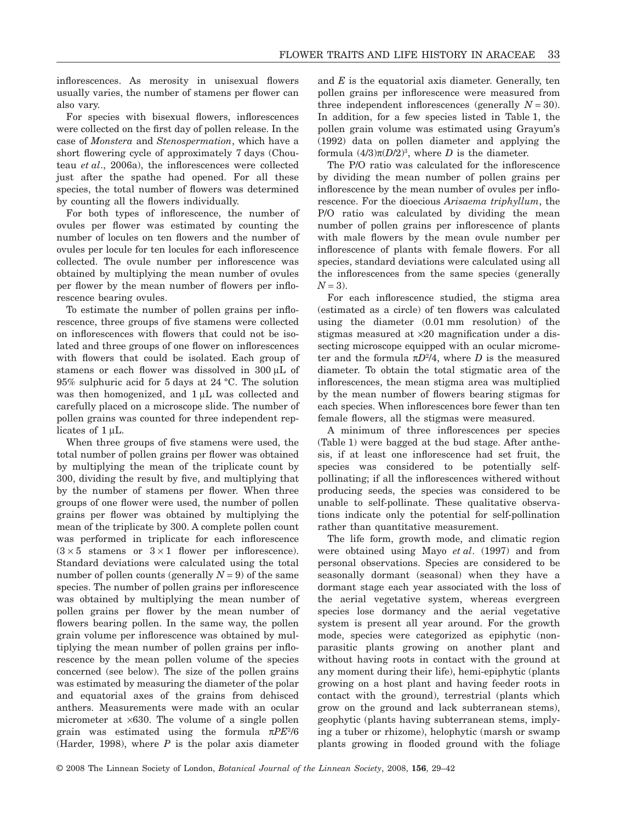inflorescences. As merosity in unisexual flowers usually varies, the number of stamens per flower can also vary.

For species with bisexual flowers, inflorescences were collected on the first day of pollen release. In the case of *Monstera* and *Stenospermation*, which have a short flowering cycle of approximately 7 days (Chouteau *et al*., 2006a), the inflorescences were collected just after the spathe had opened. For all these species, the total number of flowers was determined by counting all the flowers individually.

For both types of inflorescence, the number of ovules per flower was estimated by counting the number of locules on ten flowers and the number of ovules per locule for ten locules for each inflorescence collected. The ovule number per inflorescence was obtained by multiplying the mean number of ovules per flower by the mean number of flowers per inflorescence bearing ovules.

To estimate the number of pollen grains per inflorescence, three groups of five stamens were collected on inflorescences with flowers that could not be isolated and three groups of one flower on inflorescences with flowers that could be isolated. Each group of stamens or each flower was dissolved in 300  $\mu$ L of 95% sulphuric acid for 5 days at 24 °C. The solution was then homogenized, and  $1 \mu L$  was collected and carefully placed on a microscope slide. The number of pollen grains was counted for three independent replicates of  $1 \mu L$ .

When three groups of five stamens were used, the total number of pollen grains per flower was obtained by multiplying the mean of the triplicate count by 300, dividing the result by five, and multiplying that by the number of stamens per flower. When three groups of one flower were used, the number of pollen grains per flower was obtained by multiplying the mean of the triplicate by 300. A complete pollen count was performed in triplicate for each inflorescence  $(3 \times 5$  stamens or  $3 \times 1$  flower per inflorescence). Standard deviations were calculated using the total number of pollen counts (generally  $N = 9$ ) of the same species. The number of pollen grains per inflorescence was obtained by multiplying the mean number of pollen grains per flower by the mean number of flowers bearing pollen. In the same way, the pollen grain volume per inflorescence was obtained by multiplying the mean number of pollen grains per inflorescence by the mean pollen volume of the species concerned (see below). The size of the pollen grains was estimated by measuring the diameter of the polar and equatorial axes of the grains from dehisced anthers. Measurements were made with an ocular micrometer at  $\times 630$ . The volume of a single pollen grain was estimated using the formula  $\pi P E^2/6$ (Harder, 1998), where *P* is the polar axis diameter and *E* is the equatorial axis diameter. Generally, ten pollen grains per inflorescence were measured from three independent inflorescences (generally  $N = 30$ ). In addition, for a few species listed in Table 1, the pollen grain volume was estimated using Grayum's (1992) data on pollen diameter and applying the formula  $(4/3)\pi(D/2)^3$ , where *D* is the diameter.

The P/O ratio was calculated for the inflorescence by dividing the mean number of pollen grains per inflorescence by the mean number of ovules per inflorescence. For the dioecious *Arisaema triphyllum*, the P/O ratio was calculated by dividing the mean number of pollen grains per inflorescence of plants with male flowers by the mean ovule number per inflorescence of plants with female flowers. For all species, standard deviations were calculated using all the inflorescences from the same species (generally  $N = 3$ ).

For each inflorescence studied, the stigma area (estimated as a circle) of ten flowers was calculated using the diameter (0.01 mm resolution) of the stigmas measured at  $\times 20$  magnification under a dissecting microscope equipped with an ocular micrometer and the formula  $\pi D^2/4$ , where *D* is the measured diameter. To obtain the total stigmatic area of the inflorescences, the mean stigma area was multiplied by the mean number of flowers bearing stigmas for each species. When inflorescences bore fewer than ten female flowers, all the stigmas were measured.

A minimum of three inflorescences per species (Table 1) were bagged at the bud stage. After anthesis, if at least one inflorescence had set fruit, the species was considered to be potentially selfpollinating; if all the inflorescences withered without producing seeds, the species was considered to be unable to self-pollinate. These qualitative observations indicate only the potential for self-pollination rather than quantitative measurement.

The life form, growth mode, and climatic region were obtained using Mayo *et al*. (1997) and from personal observations. Species are considered to be seasonally dormant (seasonal) when they have a dormant stage each year associated with the loss of the aerial vegetative system, whereas evergreen species lose dormancy and the aerial vegetative system is present all year around. For the growth mode, species were categorized as epiphytic (nonparasitic plants growing on another plant and without having roots in contact with the ground at any moment during their life), hemi-epiphytic (plants growing on a host plant and having feeder roots in contact with the ground), terrestrial (plants which grow on the ground and lack subterranean stems), geophytic (plants having subterranean stems, implying a tuber or rhizome), helophytic (marsh or swamp plants growing in flooded ground with the foliage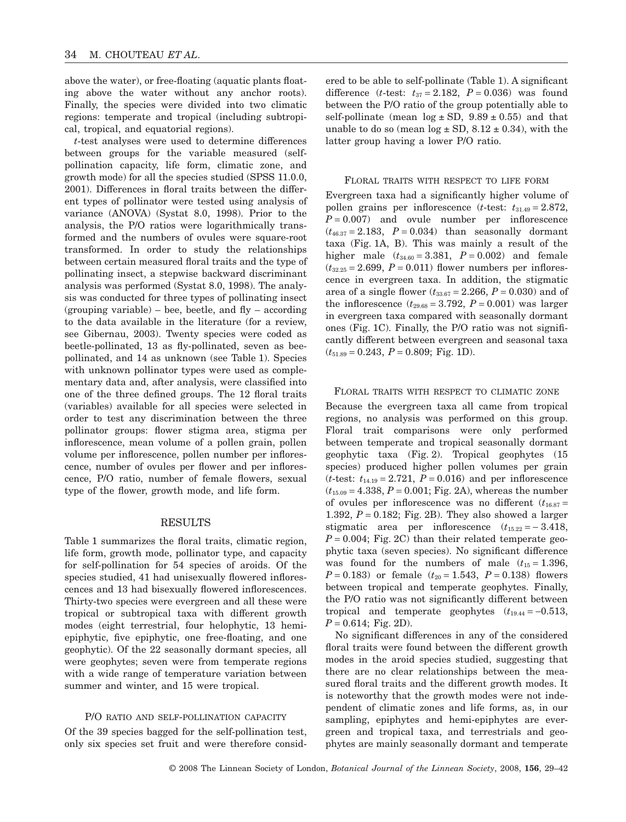above the water), or free-floating (aquatic plants floating above the water without any anchor roots). Finally, the species were divided into two climatic regions: temperate and tropical (including subtropical, tropical, and equatorial regions).

*t*-test analyses were used to determine differences between groups for the variable measured (selfpollination capacity, life form, climatic zone, and growth mode) for all the species studied (SPSS 11.0.0, 2001). Differences in floral traits between the different types of pollinator were tested using analysis of variance (ANOVA) (Systat 8.0, 1998). Prior to the analysis, the P/O ratios were logarithmically transformed and the numbers of ovules were square-root transformed. In order to study the relationships between certain measured floral traits and the type of pollinating insect, a stepwise backward discriminant analysis was performed (Systat 8.0, 1998). The analysis was conducted for three types of pollinating insect  $(grouping variable) - bee, beetle, and fly - according$ to the data available in the literature (for a review, see Gibernau, 2003). Twenty species were coded as beetle-pollinated, 13 as fly-pollinated, seven as beepollinated, and 14 as unknown (see Table 1). Species with unknown pollinator types were used as complementary data and, after analysis, were classified into one of the three defined groups. The 12 floral traits (variables) available for all species were selected in order to test any discrimination between the three pollinator groups: flower stigma area, stigma per inflorescence, mean volume of a pollen grain, pollen volume per inflorescence, pollen number per inflorescence, number of ovules per flower and per inflorescence, P/O ratio, number of female flowers, sexual type of the flower, growth mode, and life form.

#### RESULTS

Table 1 summarizes the floral traits, climatic region, life form, growth mode, pollinator type, and capacity for self-pollination for 54 species of aroids. Of the species studied, 41 had unisexually flowered inflorescences and 13 had bisexually flowered inflorescences. Thirty-two species were evergreen and all these were tropical or subtropical taxa with different growth modes (eight terrestrial, four helophytic, 13 hemiepiphytic, five epiphytic, one free-floating, and one geophytic). Of the 22 seasonally dormant species, all were geophytes; seven were from temperate regions with a wide range of temperature variation between summer and winter, and 15 were tropical.

#### P/O RATIO AND SELF-POLLINATION CAPACITY

Of the 39 species bagged for the self-pollination test, only six species set fruit and were therefore considered to be able to self-pollinate (Table 1). A significant difference (*t*-test:  $t_{37} = 2.182$ ,  $P = 0.036$ ) was found between the P/O ratio of the group potentially able to self-pollinate (mean  $log \pm SD$ ,  $9.89 \pm 0.55$ ) and that unable to do so (mean  $log \pm SD$ , 8.12  $\pm$  0.34), with the latter group having a lower P/O ratio.

#### FLORAL TRAITS WITH RESPECT TO LIFE FORM

Evergreen taxa had a significantly higher volume of pollen grains per inflorescence (*t*-test:  $t_{31.49} = 2.872$ ,  $P = 0.007$  and ovule number per inflorescence  $(t_{46.37} = 2.183, P = 0.034)$  than seasonally dormant taxa (Fig. 1A, B). This was mainly a result of the higher male  $(t_{34.60} = 3.381, P = 0.002)$  and female  $(t_{32.25} = 2.699, P = 0.011)$  flower numbers per inflorescence in evergreen taxa. In addition, the stigmatic area of a single flower  $(t_{33.67} = 2.266, P = 0.030)$  and of the inflorescence  $(t_{29.68} = 3.792, P = 0.001)$  was larger in evergreen taxa compared with seasonally dormant ones (Fig. 1C). Finally, the P/O ratio was not significantly different between evergreen and seasonal taxa (*t*51.89 = 0.243, *P* = 0.809; Fig. 1D).

#### FLORAL TRAITS WITH RESPECT TO CLIMATIC ZONE

Because the evergreen taxa all came from tropical regions, no analysis was performed on this group. Floral trait comparisons were only performed between temperate and tropical seasonally dormant geophytic taxa (Fig. 2). Tropical geophytes (15 species) produced higher pollen volumes per grain (*t*-test:  $t_{14.19} = 2.721$ ,  $P = 0.016$ ) and per inflorescence  $(t_{15.09} = 4.338, P = 0.001;$  Fig. 2A), whereas the number of ovules per inflorescence was no different  $(t_{16.87} =$ 1.392, *P* = 0.182; Fig. 2B). They also showed a larger stigmatic area per inflorescence  $(t_{15.22} = -3.418,$  $P = 0.004$ ; Fig. 2C) than their related temperate geophytic taxa (seven species). No significant difference was found for the numbers of male  $(t_{15} = 1.396,$  $P = 0.183$ ) or female  $(t_{20} = 1.543, P = 0.138)$  flowers between tropical and temperate geophytes. Finally, the P/O ratio was not significantly different between tropical and temperate geophytes  $(t_{19.44} = -0.513)$ ,  $P = 0.614$ ; Fig. 2D).

No significant differences in any of the considered floral traits were found between the different growth modes in the aroid species studied, suggesting that there are no clear relationships between the measured floral traits and the different growth modes. It is noteworthy that the growth modes were not independent of climatic zones and life forms, as, in our sampling, epiphytes and hemi-epiphytes are evergreen and tropical taxa, and terrestrials and geophytes are mainly seasonally dormant and temperate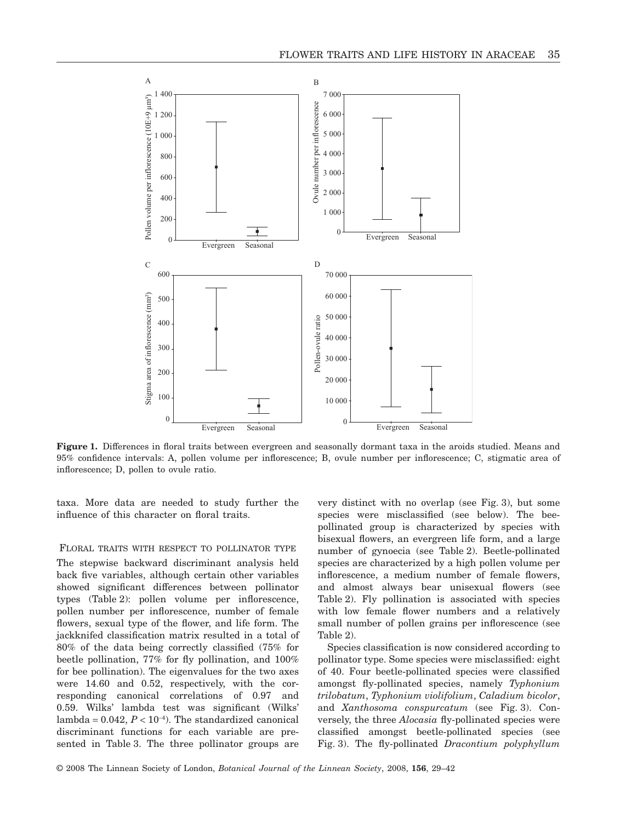

**Figure 1.** Differences in floral traits between evergreen and seasonally dormant taxa in the aroids studied. Means and 95% confidence intervals: A, pollen volume per inflorescence; B, ovule number per inflorescence; C, stigmatic area of inflorescence; D, pollen to ovule ratio.

taxa. More data are needed to study further the influence of this character on floral traits.

#### FLORAL TRAITS WITH RESPECT TO POLLINATOR TYPE

The stepwise backward discriminant analysis held back five variables, although certain other variables showed significant differences between pollinator types (Table 2): pollen volume per inflorescence, pollen number per inflorescence, number of female flowers, sexual type of the flower, and life form. The jackknifed classification matrix resulted in a total of 80% of the data being correctly classified (75% for beetle pollination, 77% for fly pollination, and 100% for bee pollination). The eigenvalues for the two axes were 14.60 and 0.52, respectively, with the corresponding canonical correlations of 0.97 and 0.59. Wilks' lambda test was significant (Wilks'  $\lambda$ lambda = 0.042,  $P < 10^{-4}$ ). The standardized canonical discriminant functions for each variable are presented in Table 3. The three pollinator groups are very distinct with no overlap (see Fig. 3), but some species were misclassified (see below). The beepollinated group is characterized by species with bisexual flowers, an evergreen life form, and a large number of gynoecia (see Table 2). Beetle-pollinated species are characterized by a high pollen volume per inflorescence, a medium number of female flowers, and almost always bear unisexual flowers (see Table 2). Fly pollination is associated with species with low female flower numbers and a relatively small number of pollen grains per inflorescence (see Table 2).

Species classification is now considered according to pollinator type. Some species were misclassified: eight of 40. Four beetle-pollinated species were classified amongst fly-pollinated species, namely *Typhonium trilobatum*, *Typhonium violifolium*, *Caladium bicolor*, and *Xanthosoma conspurcatum* (see Fig. 3). Conversely, the three *Alocasia* fly-pollinated species were classified amongst beetle-pollinated species (see Fig. 3). The fly-pollinated *Dracontium polyphyllum*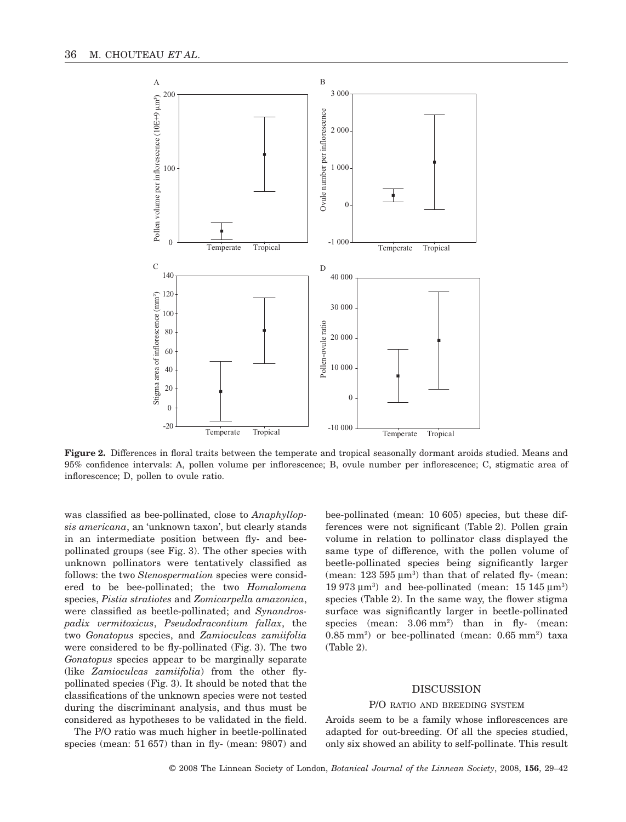

**Figure 2.** Differences in floral traits between the temperate and tropical seasonally dormant aroids studied. Means and 95% confidence intervals: A, pollen volume per inflorescence; B, ovule number per inflorescence; C, stigmatic area of inflorescence; D, pollen to ovule ratio.

was classified as bee-pollinated, close to *Anaphyllopsis americana*, an 'unknown taxon', but clearly stands in an intermediate position between fly- and beepollinated groups (see Fig. 3). The other species with unknown pollinators were tentatively classified as follows: the two *Stenospermation* species were considered to be bee-pollinated; the two *Homalomena* species, *Pistia stratiotes* and *Zomicarpella amazonica*, were classified as beetle-pollinated; and *Synandrospadix vermitoxicus*, *Pseudodracontium fallax*, the two *Gonatopus* species, and *Zamioculcas zamiifolia* were considered to be fly-pollinated (Fig. 3). The two *Gonatopus* species appear to be marginally separate (like *Zamioculcas zamiifolia*) from the other flypollinated species (Fig. 3). It should be noted that the classifications of the unknown species were not tested during the discriminant analysis, and thus must be considered as hypotheses to be validated in the field.

The P/O ratio was much higher in beetle-pollinated species (mean: 51 657) than in fly- (mean: 9807) and

bee-pollinated (mean: 10 605) species, but these differences were not significant (Table 2). Pollen grain volume in relation to pollinator class displayed the same type of difference, with the pollen volume of beetle-pollinated species being significantly larger (mean:  $123\,595\,\mu\text{m}^3$ ) than that of related fly- (mean: 19 973  $\mu$ m<sup>3</sup>) and bee-pollinated (mean: 15 145  $\mu$ m<sup>3</sup>) species (Table 2). In the same way, the flower stigma surface was significantly larger in beetle-pollinated species (mean:  $3.06 \text{ mm}^2$ ) than in fly- (mean:  $0.85$  mm<sup>2</sup>) or bee-pollinated (mean:  $0.65$  mm<sup>2</sup>) taxa (Table 2).

#### DISCUSSION

#### P/O RATIO AND BREEDING SYSTEM

Aroids seem to be a family whose inflorescences are adapted for out-breeding. Of all the species studied, only six showed an ability to self-pollinate. This result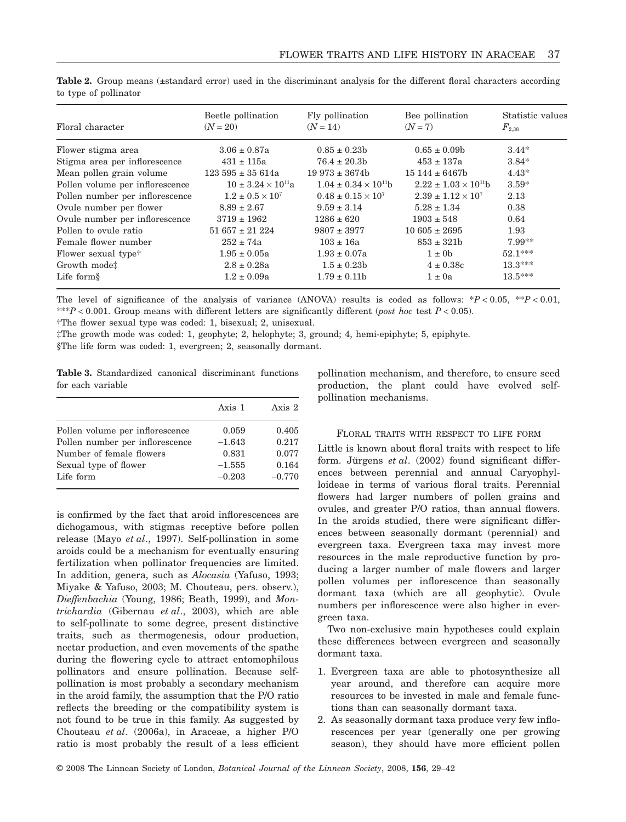| Floral character                | Beetle pollination<br>$(N = 20)$ | Fly pollination<br>$(N = 14)$    | Bee pollination<br>$(N = 7)$     | Statistic values<br>$F_{2.38}$ |
|---------------------------------|----------------------------------|----------------------------------|----------------------------------|--------------------------------|
|                                 |                                  |                                  |                                  |                                |
| Flower stigma area              | $3.06 \pm 0.87a$                 | $0.85 \pm 0.23b$                 | $0.65 \pm 0.09b$                 | $3.44*$                        |
| Stigma area per inflorescence   | $431 \pm 115a$                   | $76.4 \pm 20.3b$                 | $453 \pm 137a$                   | $3.84*$                        |
| Mean pollen grain volume        | $123595 \pm 35614a$              | $19.973 \pm 3674$                | $15144 \pm 6467$                 | $4.43*$                        |
| Pollen volume per inflorescence | $10 \pm 3.24 \times 10^{11}$ a   | $1.04 \pm 0.34 \times 10^{11}$ h | $2.22 \pm 1.03 \times 10^{11}$ h | $3.59*$                        |
| Pollen number per inflorescence | $1.2 \pm 0.5 \times 10^7$        | $0.48 \pm 0.15 \times 10^7$      | $2.39 \pm 1.12 \times 10^7$      | 2.13                           |
| Ovule number per flower         | $8.89 \pm 2.67$                  | $9.59 \pm 3.14$                  | $5.28 \pm 1.34$                  | 0.38                           |
| Ovule number per inflorescence  | $3719 \pm 1962$                  | $1286 \pm 620$                   | $1903 \pm 548$                   | 0.64                           |
| Pollen to ovule ratio           | $51657 \pm 21224$                | $9807 \pm 3977$                  | $10605 \pm 2695$                 | 1.93                           |
| Female flower number            | $252 \pm 74a$                    | $103 \pm 16a$                    | $853 \pm 321b$                   | $7.99**$                       |
| Flower sexual type <sup>†</sup> | $1.95 \pm 0.05a$                 | $1.93 \pm 0.07a$                 | $1 \pm 0$                        | $52.1***$                      |
| Growth mode:                    | $2.8 \pm 0.28a$                  | $1.5 \pm 0.23b$                  | $4 \pm 0.38c$                    | $13.3***$                      |
| Life form $\S$                  | $1.2 \pm 0.09a$                  | $1.79 \pm 0.11b$                 | $1 \pm 0a$                       | $13.5***$                      |

**Table 2.** Group means (±standard error) used in the discriminant analysis for the different floral characters according to type of pollinator

The level of significance of the analysis of variance (ANOVA) results is coded as follows:  $*P < 0.05$ ,  $*P < 0.01$ , \*\*\**P* < 0.001. Group means with different letters are significantly different (*post hoc* test *P* < 0.05). †The flower sexual type was coded: 1, bisexual; 2, unisexual.

‡The growth mode was coded: 1, geophyte; 2, helophyte; 3, ground; 4, hemi-epiphyte; 5, epiphyte.

§The life form was coded: 1, evergreen; 2, seasonally dormant.

**Table 3.** Standardized canonical discriminant functions for each variable

|                                 | Axis 1   | Axis 2   |
|---------------------------------|----------|----------|
| Pollen volume per inflorescence | 0.059    | 0.405    |
| Pollen number per inflorescence | $-1.643$ | 0.217    |
| Number of female flowers        | 0.831    | 0.077    |
| Sexual type of flower           | $-1.555$ | 0.164    |
| Life form                       | $-0.203$ | $-0.770$ |

is confirmed by the fact that aroid inflorescences are dichogamous, with stigmas receptive before pollen release (Mayo *et al*., 1997). Self-pollination in some aroids could be a mechanism for eventually ensuring fertilization when pollinator frequencies are limited. In addition, genera, such as *Alocasia* (Yafuso, 1993; Miyake & Yafuso, 2003; M. Chouteau, pers. observ.), *Dieffenbachia* (Young, 1986; Beath, 1999), and *Montrichardia* (Gibernau *et al*., 2003), which are able to self-pollinate to some degree, present distinctive traits, such as thermogenesis, odour production, nectar production, and even movements of the spathe during the flowering cycle to attract entomophilous pollinators and ensure pollination. Because selfpollination is most probably a secondary mechanism in the aroid family, the assumption that the P/O ratio reflects the breeding or the compatibility system is not found to be true in this family. As suggested by Chouteau *et al*. (2006a), in Araceae, a higher P/O ratio is most probably the result of a less efficient pollination mechanism, and therefore, to ensure seed production, the plant could have evolved selfpollination mechanisms.

### FLORAL TRAITS WITH RESPECT TO LIFE FORM

Little is known about floral traits with respect to life form. Jürgens *et al*. (2002) found significant differences between perennial and annual Caryophylloideae in terms of various floral traits. Perennial flowers had larger numbers of pollen grains and ovules, and greater P/O ratios, than annual flowers. In the aroids studied, there were significant differences between seasonally dormant (perennial) and evergreen taxa. Evergreen taxa may invest more resources in the male reproductive function by producing a larger number of male flowers and larger pollen volumes per inflorescence than seasonally dormant taxa (which are all geophytic). Ovule numbers per inflorescence were also higher in evergreen taxa.

Two non-exclusive main hypotheses could explain these differences between evergreen and seasonally dormant taxa.

- 1. Evergreen taxa are able to photosynthesize all year around, and therefore can acquire more resources to be invested in male and female functions than can seasonally dormant taxa.
- 2. As seasonally dormant taxa produce very few inflorescences per year (generally one per growing season), they should have more efficient pollen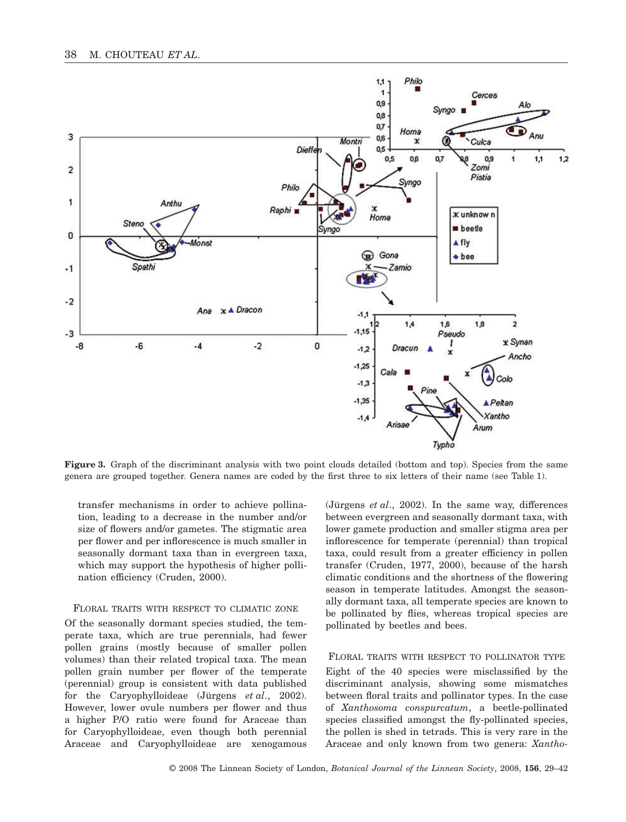

**Figure 3.** Graph of the discriminant analysis with two point clouds detailed (bottom and top). Species from the same genera are grouped together. Genera names are coded by the first three to six letters of their name (see Table 1).

transfer mechanisms in order to achieve pollination, leading to a decrease in the number and/or size of flowers and/or gametes. The stigmatic area per flower and per inflorescence is much smaller in seasonally dormant taxa than in evergreen taxa, which may support the hypothesis of higher pollination efficiency (Cruden, 2000).

## FLORAL TRAITS WITH RESPECT TO CLIMATIC ZONE

Of the seasonally dormant species studied, the temperate taxa, which are true perennials, had fewer pollen grains (mostly because of smaller pollen volumes) than their related tropical taxa. The mean pollen grain number per flower of the temperate (perennial) group is consistent with data published for the Caryophylloideae (Jürgens *et al*., 2002). However, lower ovule numbers per flower and thus a higher P/O ratio were found for Araceae than for Caryophylloideae, even though both perennial Araceae and Caryophylloideae are xenogamous (Jürgens *et al*., 2002). In the same way, differences between evergreen and seasonally dormant taxa, with lower gamete production and smaller stigma area per inflorescence for temperate (perennial) than tropical taxa, could result from a greater efficiency in pollen transfer (Cruden, 1977, 2000), because of the harsh climatic conditions and the shortness of the flowering season in temperate latitudes. Amongst the seasonally dormant taxa, all temperate species are known to be pollinated by flies, whereas tropical species are pollinated by beetles and bees.

#### FLORAL TRAITS WITH RESPECT TO POLLINATOR TYPE

Eight of the 40 species were misclassified by the discriminant analysis, showing some mismatches between floral traits and pollinator types. In the case of *Xanthosoma conspurcatum*, a beetle-pollinated species classified amongst the fly-pollinated species, the pollen is shed in tetrads. This is very rare in the Araceae and only known from two genera: *Xantho-*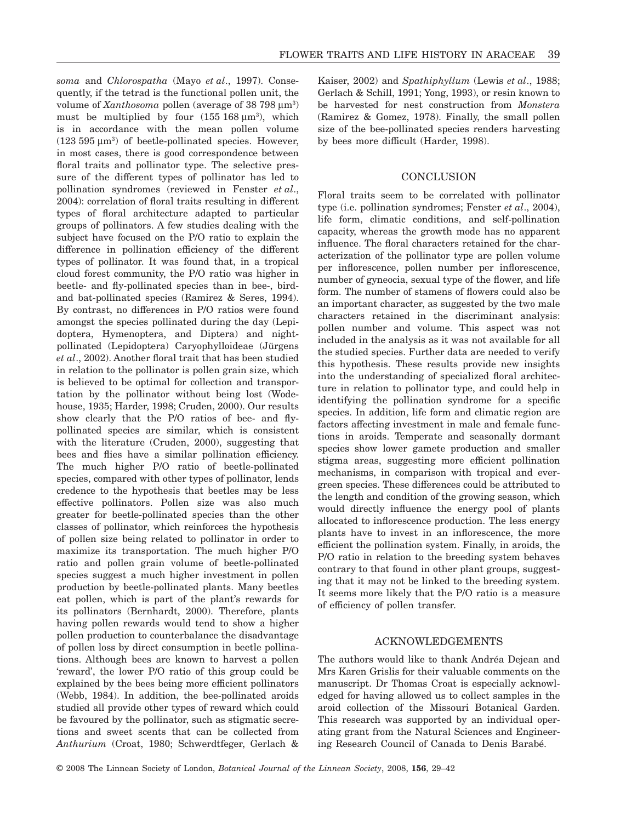*soma* and *Chlorospatha* (Mayo *et al*., 1997). Consequently, if the tetrad is the functional pollen unit, the volume of *Xanthosoma* pollen (average of 38 798 µm<sup>3</sup>) must be multiplied by four  $(155 \, 168 \, \mu \text{m}^3)$ , which is in accordance with the mean pollen volume  $(123 595 \,\mu m^3)$  of beetle-pollinated species. However, in most cases, there is good correspondence between floral traits and pollinator type. The selective pressure of the different types of pollinator has led to pollination syndromes (reviewed in Fenster *et al*., 2004): correlation of floral traits resulting in different types of floral architecture adapted to particular groups of pollinators. A few studies dealing with the subject have focused on the P/O ratio to explain the difference in pollination efficiency of the different types of pollinator. It was found that, in a tropical cloud forest community, the P/O ratio was higher in beetle- and fly-pollinated species than in bee-, birdand bat-pollinated species (Ramirez & Seres, 1994). By contrast, no differences in P/O ratios were found amongst the species pollinated during the day (Lepidoptera, Hymenoptera, and Diptera) and nightpollinated (Lepidoptera) Caryophylloideae (Jürgens *et al*., 2002). Another floral trait that has been studied in relation to the pollinator is pollen grain size, which is believed to be optimal for collection and transportation by the pollinator without being lost (Wodehouse, 1935; Harder, 1998; Cruden, 2000). Our results show clearly that the P/O ratios of bee- and flypollinated species are similar, which is consistent with the literature (Cruden, 2000), suggesting that bees and flies have a similar pollination efficiency. The much higher P/O ratio of beetle-pollinated species, compared with other types of pollinator, lends credence to the hypothesis that beetles may be less effective pollinators. Pollen size was also much greater for beetle-pollinated species than the other classes of pollinator, which reinforces the hypothesis of pollen size being related to pollinator in order to maximize its transportation. The much higher P/O ratio and pollen grain volume of beetle-pollinated species suggest a much higher investment in pollen production by beetle-pollinated plants. Many beetles eat pollen, which is part of the plant's rewards for its pollinators (Bernhardt, 2000). Therefore, plants having pollen rewards would tend to show a higher pollen production to counterbalance the disadvantage of pollen loss by direct consumption in beetle pollinations. Although bees are known to harvest a pollen 'reward', the lower P/O ratio of this group could be explained by the bees being more efficient pollinators (Webb, 1984). In addition, the bee-pollinated aroids studied all provide other types of reward which could be favoured by the pollinator, such as stigmatic secretions and sweet scents that can be collected from *Anthurium* (Croat, 1980; Schwerdtfeger, Gerlach & Kaiser, 2002) and *Spathiphyllum* (Lewis *et al*., 1988; Gerlach & Schill, 1991; Yong, 1993), or resin known to be harvested for nest construction from *Monstera* (Ramirez & Gomez, 1978). Finally, the small pollen size of the bee-pollinated species renders harvesting by bees more difficult (Harder, 1998).

#### **CONCLUSION**

Floral traits seem to be correlated with pollinator type (i.e. pollination syndromes; Fenster *et al*., 2004), life form, climatic conditions, and self-pollination capacity, whereas the growth mode has no apparent influence. The floral characters retained for the characterization of the pollinator type are pollen volume per inflorescence, pollen number per inflorescence, number of gyneocia, sexual type of the flower, and life form. The number of stamens of flowers could also be an important character, as suggested by the two male characters retained in the discriminant analysis: pollen number and volume. This aspect was not included in the analysis as it was not available for all the studied species. Further data are needed to verify this hypothesis. These results provide new insights into the understanding of specialized floral architecture in relation to pollinator type, and could help in identifying the pollination syndrome for a specific species. In addition, life form and climatic region are factors affecting investment in male and female functions in aroids. Temperate and seasonally dormant species show lower gamete production and smaller stigma areas, suggesting more efficient pollination mechanisms, in comparison with tropical and evergreen species. These differences could be attributed to the length and condition of the growing season, which would directly influence the energy pool of plants allocated to inflorescence production. The less energy plants have to invest in an inflorescence, the more efficient the pollination system. Finally, in aroids, the P/O ratio in relation to the breeding system behaves contrary to that found in other plant groups, suggesting that it may not be linked to the breeding system. It seems more likely that the P/O ratio is a measure of efficiency of pollen transfer.

## ACKNOWLEDGEMENTS

The authors would like to thank Andréa Dejean and Mrs Karen Grislis for their valuable comments on the manuscript. Dr Thomas Croat is especially acknowledged for having allowed us to collect samples in the aroid collection of the Missouri Botanical Garden. This research was supported by an individual operating grant from the Natural Sciences and Engineering Research Council of Canada to Denis Barabé.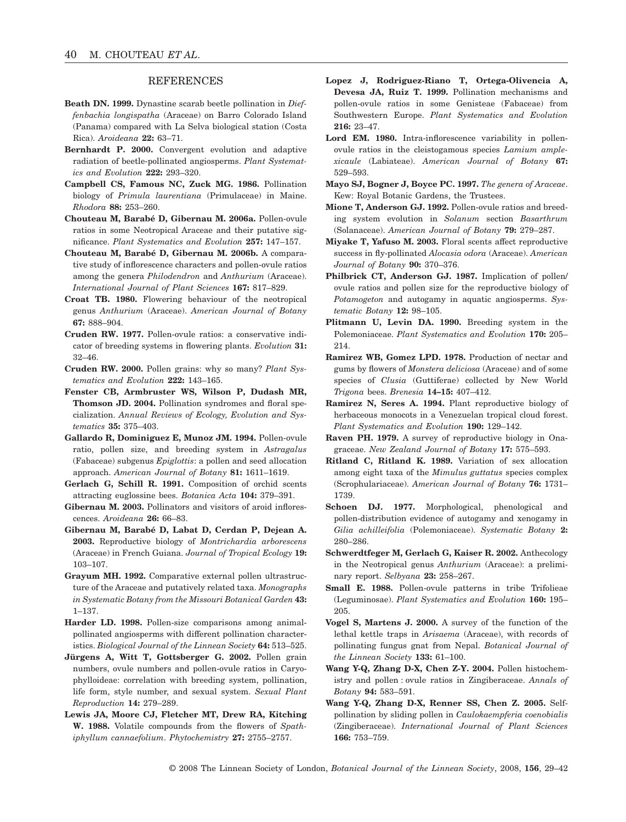## **REFERENCES**

- **Beath DN. 1999.** Dynastine scarab beetle pollination in *Dieffenbachia longispatha* (Araceae) on Barro Colorado Island (Panama) compared with La Selva biological station (Costa Rica). *Aroideana* **22:** 63–71.
- **Bernhardt P. 2000.** Convergent evolution and adaptive radiation of beetle-pollinated angiosperms. *Plant Systematics and Evolution* **222:** 293–320.
- **Campbell CS, Famous NC, Zuck MG. 1986.** Pollination biology of *Primula laurentiana* (Primulaceae) in Maine. *Rhodora* **88:** 253–260.
- **Chouteau M, Barabé D, Gibernau M. 2006a.** Pollen-ovule ratios in some Neotropical Araceae and their putative significance. *Plant Systematics and Evolution* **257:** 147–157.
- **Chouteau M, Barabé D, Gibernau M. 2006b.** A comparative study of inflorescence characters and pollen-ovule ratios among the genera *Philodendron* and *Anthurium* (Araceae). *International Journal of Plant Sciences* **167:** 817–829.
- **Croat TB. 1980.** Flowering behaviour of the neotropical genus *Anthurium* (Araceae). *American Journal of Botany* **67:** 888–904.
- **Cruden RW. 1977.** Pollen-ovule ratios: a conservative indicator of breeding systems in flowering plants. *Evolution* **31:** 32–46.
- **Cruden RW. 2000.** Pollen grains: why so many? *Plant Systematics and Evolution* **222:** 143–165.
- **Fenster CB, Armbruster WS, Wilson P, Dudash MR, Thomson JD. 2004.** Pollination syndromes and floral specialization. *Annual Reviews of Ecology, Evolution and Systematics* **35:** 375–403.
- **Gallardo R, Dominiguez E, Munoz JM. 1994.** Pollen-ovule ratio, pollen size, and breeding system in *Astragalus* (Fabaceae) subgenus *Epiglottis*: a pollen and seed allocation approach. *American Journal of Botany* **81:** 1611–1619.
- **Gerlach G, Schill R. 1991.** Composition of orchid scents attracting euglossine bees. *Botanica Acta* **104:** 379–391.
- **Gibernau M. 2003.** Pollinators and visitors of aroid inflorescences. *Aroideana* **26:** 66–83.
- **Gibernau M, Barabé D, Labat D, Cerdan P, Dejean A. 2003.** Reproductive biology of *Montrichardia arborescens* (Araceae) in French Guiana. *Journal of Tropical Ecology* **19:** 103–107.
- **Grayum MH. 1992.** Comparative external pollen ultrastructure of the Araceae and putatively related taxa. *Monographs in Systematic Botany from the Missouri Botanical Garden* **43:** 1–137.
- **Harder LD. 1998.** Pollen-size comparisons among animalpollinated angiosperms with different pollination characteristics. *Biological Journal of the Linnean Society* **64:** 513–525.
- **Jürgens A, Witt T, Gottsberger G. 2002.** Pollen grain numbers, ovule numbers and pollen-ovule ratios in Caryophylloideae: correlation with breeding system, pollination, life form, style number, and sexual system. *Sexual Plant Reproduction* **14:** 279–289.
- **Lewis JA, Moore CJ, Fletcher MT, Drew RA, Kitching W. 1988.** Volatile compounds from the flowers of *Spathiphyllum cannaefolium*. *Phytochemistry* **27:** 2755–2757.
- **Lopez J, Rodriguez-Riano T, Ortega-Olivencia A, Devesa JA, Ruiz T. 1999.** Pollination mechanisms and pollen-ovule ratios in some Genisteae (Fabaceae) from Southwestern Europe. *Plant Systematics and Evolution* **216:** 23–47.
- Lord EM. 1980. Intra-inflorescence variability in pollenovule ratios in the cleistogamous species *Lamium amplexicaule* (Labiateae). *American Journal of Botany* **67:** 529–593.
- **Mayo SJ, Bogner J, Boyce PC. 1997.** *The genera of Araceae*. Kew: Royal Botanic Gardens, the Trustees.
- **Mione T, Anderson GJ. 1992.** Pollen-ovule ratios and breeding system evolution in *Solanum* section *Basarthrum* (Solanaceae). *American Journal of Botany* **79:** 279–287.
- **Miyake T, Yafuso M. 2003.** Floral scents affect reproductive success in fly-pollinated *Alocasia odora* (Araceae). *American Journal of Botany* **90:** 370–376.
- **Philbrick CT, Anderson GJ. 1987.** Implication of pollen/ ovule ratios and pollen size for the reproductive biology of *Potamogeton* and autogamy in aquatic angiosperms. *Systematic Botany* **12:** 98–105.
- **Plitmann U, Levin DA. 1990.** Breeding system in the Polemoniaceae. *Plant Systematics and Evolution* **170:** 205– 214.
- **Ramirez WB, Gomez LPD. 1978.** Production of nectar and gums by flowers of *Monstera deliciosa* (Araceae) and of some species of *Clusia* (Guttiferae) collected by New World *Trigona* bees. *Brenesia* **14–15:** 407–412.
- **Ramirez N, Seres A. 1994.** Plant reproductive biology of herbaceous monocots in a Venezuelan tropical cloud forest. *Plant Systematics and Evolution* **190:** 129–142.
- **Raven PH. 1979.** A survey of reproductive biology in Onagraceae. *New Zealand Journal of Botany* **17:** 575–593.
- **Ritland C, Ritland K. 1989.** Variation of sex allocation among eight taxa of the *Mimulus guttatus* species complex (Scrophulariaceae). *American Journal of Botany* **76:** 1731– 1739.
- **Schoen DJ. 1977.** Morphological, phenological and pollen-distribution evidence of autogamy and xenogamy in *Gilia achilleifolia* (Polemoniaceae). *Systematic Botany* **2:** 280–286.
- **Schwerdtfeger M, Gerlach G, Kaiser R. 2002.** Anthecology in the Neotropical genus *Anthurium* (Araceae): a preliminary report. *Selbyana* **23:** 258–267.
- **Small E. 1988.** Pollen-ovule patterns in tribe Trifolieae (Leguminosae). *Plant Systematics and Evolution* **160:** 195– 205.
- **Vogel S, Martens J. 2000.** A survey of the function of the lethal kettle traps in *Arisaema* (Araceae), with records of pollinating fungus gnat from Nepal. *Botanical Journal of the Linnean Society* **133:** 61–100.
- **Wang Y-Q, Zhang D-X, Chen Z-Y. 2004.** Pollen histochemistry and pollen : ovule ratios in Zingiberaceae. *Annals of Botany* **94:** 583–591.
- **Wang Y-Q, Zhang D-X, Renner SS, Chen Z. 2005.** Selfpollination by sliding pollen in *Caulokaempferia coenobialis* (Zingiberaceae). *International Journal of Plant Sciences* **166:** 753–759.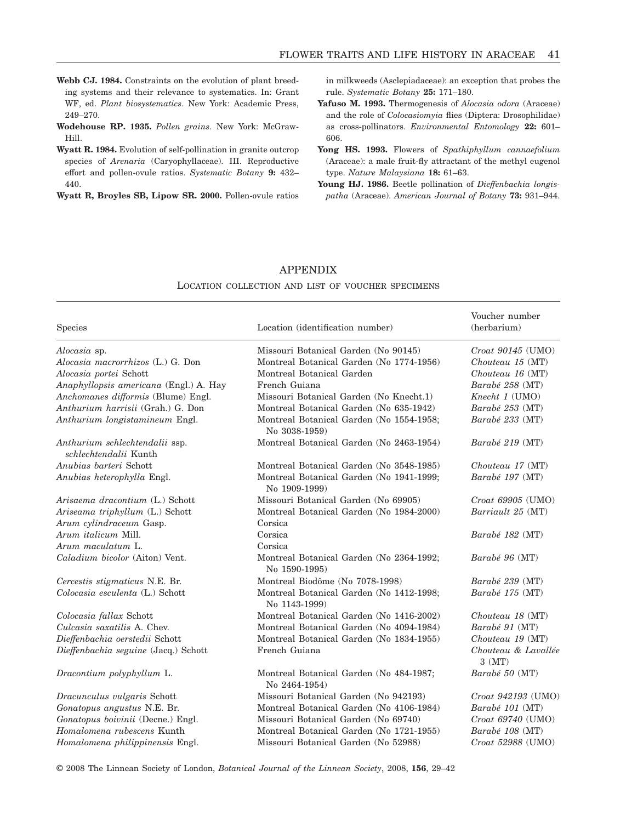- **Webb CJ. 1984.** Constraints on the evolution of plant breeding systems and their relevance to systematics. In: Grant WF, ed. *Plant biosystematics*. New York: Academic Press, 249–270.
- **Wodehouse RP. 1935.** *Pollen grains*. New York: McGraw-Hill.
- **Wyatt R. 1984.** Evolution of self-pollination in granite outcrop species of *Arenaria* (Caryophyllaceae). III. Reproductive effort and pollen-ovule ratios. *Systematic Botany* **9:** 432– 440.

**Wyatt R, Broyles SB, Lipow SR. 2000.** Pollen-ovule ratios

in milkweeds (Asclepiadaceae): an exception that probes the rule. *Systematic Botany* **25:** 171–180.

- **Yafuso M. 1993.** Thermogenesis of *Alocasia odora* (Araceae) and the role of *Colocasiomyia* flies (Diptera: Drosophilidae) as cross-pollinators. *Environmental Entomology* **22:** 601– 606.
- **Yong HS. 1993.** Flowers of *Spathiphyllum cannaefolium* (Araceae): a male fruit-fly attractant of the methyl eugenol type. *Nature Malaysiana* **18:** 61–63.
- **Young HJ. 1986.** Beetle pollination of *Dieffenbachia longispatha* (Araceae). *American Journal of Botany* **73:** 931–944.

## APPENDIX

#### LOCATION COLLECTION AND LIST OF VOUCHER SPECIMENS

| <b>Species</b>                                          | Location (identification number)                          | Voucher number<br>(herbarium)   |
|---------------------------------------------------------|-----------------------------------------------------------|---------------------------------|
| Alocasia sp.                                            | Missouri Botanical Garden (No 90145)                      | Croat 90145 (UMO)               |
| Alocasia macrorrhizos (L.) G. Don                       | Montreal Botanical Garden (No 1774-1956)                  | Chouteau 15 (MT)                |
| Alocasia portei Schott                                  | Montreal Botanical Garden                                 | Chouteau 16 (MT)                |
| Anaphyllopsis americana (Engl.) A. Hay                  | French Guiana                                             | Barabé 258 (MT)                 |
| Anchomanes difformis (Blume) Engl.                      | Missouri Botanical Garden (No Knecht.1)                   | Knecht 1 (UMO)                  |
| Anthurium harrisii (Grah.) G. Don                       | Montreal Botanical Garden (No 635-1942)                   | Barabé 253 (MT)                 |
| Anthurium longistamineum Engl.                          | Montreal Botanical Garden (No 1554-1958;<br>No 3038-1959) | Barabé 233 (MT)                 |
| Anthurium schlechtendalii ssp.<br>schlechtendalii Kunth | Montreal Botanical Garden (No 2463-1954)                  | Barabé 219 (MT)                 |
| Anubias barteri Schott                                  | Montreal Botanical Garden (No 3548-1985)                  | Chouteau 17 (MT)                |
| Anubias heterophylla Engl.                              | Montreal Botanical Garden (No 1941-1999;<br>No 1909-1999) | Barabé 197 (MT)                 |
| Arisaema dracontium (L.) Schott                         | Missouri Botanical Garden (No 69905)                      | Croat 69905 (UMO)               |
| Ariseama triphyllum (L.) Schott                         | Montreal Botanical Garden (No 1984-2000)                  | Barriault 25 (MT)               |
| Arum cylindraceum Gasp.                                 | Corsica                                                   |                                 |
| Arum <i>italicum</i> Mill.                              | Corsica                                                   | Barabé 182 (MT)                 |
| Arum maculatum L.                                       | Corsica                                                   |                                 |
| Caladium bicolor (Aiton) Vent.                          | Montreal Botanical Garden (No 2364-1992;<br>No 1590-1995) | $Barab\acute{e}$ 96 (MT)        |
| Cercestis stigmaticus N.E. Br.                          | Montreal Biodôme (No 7078-1998)                           | Barabé 239 (MT)                 |
| Colocasia esculenta (L.) Schott                         | Montreal Botanical Garden (No 1412-1998;<br>No 1143-1999) | Barabé 175 (MT)                 |
| Colocasia fallax Schott                                 | Montreal Botanical Garden (No 1416-2002)                  | Chouteau 18 (MT)                |
| Culcasia saxatilis A. Chev.                             | Montreal Botanical Garden (No 4094-1984)                  | Barabé 91 (MT)                  |
| Dieffenbachia oerstedii Schott                          | Montreal Botanical Garden (No 1834-1955)                  | Chouteau 19 (MT)                |
| Dieffenbachia seguine (Jacq.) Schott                    | French Guiana                                             | Chouteau & Lavallée<br>$3$ (MT) |
| Dracontium polyphyllum L.                               | Montreal Botanical Garden (No 484-1987;<br>No 2464-1954)  | Barabé 50 (MT)                  |
| Dracunculus vulgaris Schott                             | Missouri Botanical Garden (No 942193)                     | Croat 942193 (UMO)              |
| Gonatopus angustus N.E. Br.                             | Montreal Botanical Garden (No 4106-1984)                  | Barabé 101 (MT)                 |
| Gonatopus boivinii (Decne.) Engl.                       | Missouri Botanical Garden (No 69740)                      | Croat 69740 (UMO)               |
| Homalomena rubescens Kunth                              | Montreal Botanical Garden (No 1721-1955)                  | Barabé 108 (MT)                 |
| Homalomena philippinensis Engl.                         | Missouri Botanical Garden (No 52988)                      | Croat 52988 (UMO)               |